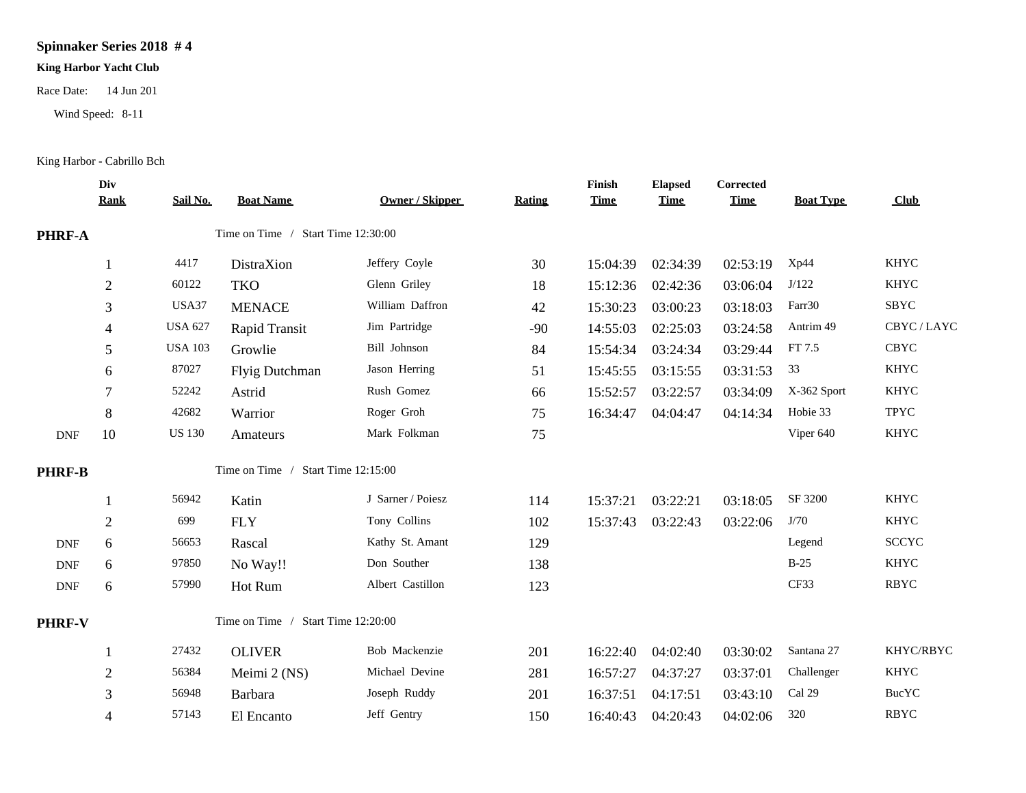## **Spinnaker Series 2018 # 4**

## **King Harbor Yacht Club**

Race Date: 14 Jun 201

Wind Speed: 8-11

King Harbor - Cabrillo Bch

|                             | Div<br><b>Rank</b> | Sail No.                           | <b>Boat Name</b>                   | <b>Owner / Skipper</b> | <b>Rating</b> | Finish<br><b>Time</b> | <b>Elapsed</b><br><b>Time</b> | Corrected<br><b>Time</b> | <b>Boat Type</b> | Club         |
|-----------------------------|--------------------|------------------------------------|------------------------------------|------------------------|---------------|-----------------------|-------------------------------|--------------------------|------------------|--------------|
| <b>PHRF-A</b>               |                    |                                    | Time on Time / Start Time 12:30:00 |                        |               |                       |                               |                          |                  |              |
|                             | 1                  | 4417                               | DistraXion                         | Jeffery Coyle          | 30            | 15:04:39              | 02:34:39                      | 02:53:19                 | Xp44             | <b>KHYC</b>  |
|                             | $\boldsymbol{2}$   | 60122                              | <b>TKO</b>                         | Glenn Griley           | 18            | 15:12:36              | 02:42:36                      | 03:06:04                 | J/122            | <b>KHYC</b>  |
|                             | 3                  | USA37                              | <b>MENACE</b>                      | William Daffron        | 42            | 15:30:23              | 03:00:23                      | 03:18:03                 | Farr30           | <b>SBYC</b>  |
|                             | 4                  | <b>USA 627</b>                     | Rapid Transit                      | Jim Partridge          | $-90$         | 14:55:03              | 02:25:03                      | 03:24:58                 | Antrim 49        | CBYC/LAYC    |
|                             | 5                  | <b>USA 103</b>                     | Growlie                            | Bill Johnson           | 84            | 15:54:34              | 03:24:34                      | 03:29:44                 | FT 7.5           | <b>CBYC</b>  |
|                             | 6                  | 87027                              | Flyig Dutchman                     | Jason Herring          | 51            | 15:45:55              | 03:15:55                      | 03:31:53                 | 33               | <b>KHYC</b>  |
|                             | 7                  | 52242                              | Astrid                             | Rush Gomez             | 66            | 15:52:57              | 03:22:57                      | 03:34:09                 | X-362 Sport      | <b>KHYC</b>  |
|                             | 8                  | 42682                              | Warrior                            | Roger Groh             | 75            | 16:34:47              | 04:04:47                      | 04:14:34                 | Hobie 33         | TPYC         |
| <b>DNF</b>                  | 10                 | <b>US 130</b>                      | Amateurs                           | Mark Folkman           | 75            |                       |                               |                          | Viper 640        | <b>KHYC</b>  |
| <b>PHRF-B</b>               |                    |                                    | Time on Time / Start Time 12:15:00 |                        |               |                       |                               |                          |                  |              |
|                             | 1                  | 56942                              | Katin                              | J Sarner / Poiesz      | 114           | 15:37:21              | 03:22:21                      | 03:18:05                 | SF 3200          | <b>KHYC</b>  |
|                             | $\boldsymbol{2}$   | 699                                | <b>FLY</b>                         | Tony Collins           | 102           | 15:37:43              | 03:22:43                      | 03:22:06                 | J/70             | <b>KHYC</b>  |
| <b>DNF</b>                  | 6                  | 56653                              | Rascal                             | Kathy St. Amant        | 129           |                       |                               |                          | Legend           | <b>SCCYC</b> |
| $\ensuremath{\mathsf{DNF}}$ | 6                  | 97850                              | No Way!!                           | Don Souther            | 138           |                       |                               |                          | $B-25$           | <b>KHYC</b>  |
| $\ensuremath{\mathsf{DNF}}$ | 6                  | 57990                              | Hot Rum                            | Albert Castillon       | 123           |                       |                               |                          | CF33             | <b>RBYC</b>  |
| <b>PHRF-V</b>               |                    | Time on Time / Start Time 12:20:00 |                                    |                        |               |                       |                               |                          |                  |              |
|                             | 1                  | 27432                              | <b>OLIVER</b>                      | Bob Mackenzie          | 201           | 16:22:40              | 04:02:40                      | 03:30:02                 | Santana 27       | KHYC/RBYC    |
|                             | $\sqrt{2}$         | 56384                              | Meimi 2 (NS)                       | Michael Devine         | 281           | 16:57:27              | 04:37:27                      | 03:37:01                 | Challenger       | <b>KHYC</b>  |
|                             | 3                  | 56948                              | Barbara                            | Joseph Ruddy           | 201           | 16:37:51              | 04:17:51                      | 03:43:10                 | Cal 29           | <b>BucYC</b> |
|                             | 4                  | 57143                              | El Encanto                         | Jeff Gentry            | 150           | 16:40:43              | 04:20:43                      | 04:02:06                 | 320              | <b>RBYC</b>  |